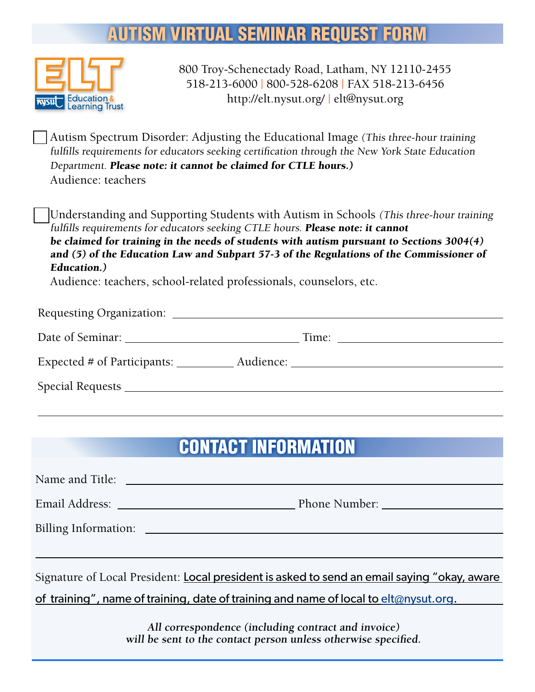## **ITISM VIRTUAL SEMINAR REQUEST FORM**



800 Troy-Schenectady Road, Latham, NY 12110-2455 518-213-6000 | 800-528-6208 | FAX 518-213-6456 [http://elt.nysut.org/ |](http://elt.nysut.org/) [elt@nysut.org](mailto:elt@nysut.org)

Autism Spectrum Disorder: Adjusting the Educational Image (This three-hour training fulfills requirements for educators seeking certification through the New York State Education Department. Please note: it cannot be claimed for CTLE hours.) Audience: teachers

Understanding and Supporting Students with Autism in Schools (This three-hour training fulfills requirements for educators seeking CTLE hours. Please note: it cannot be claimed for training in the needs of students with autism pursuant to Sections 3004(4) and (5) of the Education Law and Subpart 57-3 of the Regulations of the Commissioner of Education.)

Audience: teachers, school-related professionals, counselors, etc.

|                             | Time: The contract of the contract of the contract of the contract of the contract of the contract of the contract of the contract of the contract of the contract of the contract of the contract of the contract of the cont |
|-----------------------------|--------------------------------------------------------------------------------------------------------------------------------------------------------------------------------------------------------------------------------|
| Expected # of Participants: |                                                                                                                                                                                                                                |
|                             |                                                                                                                                                                                                                                |

# CONTACT INFORMATION

| Name and Title:                                                                                                       |  |  |
|-----------------------------------------------------------------------------------------------------------------------|--|--|
|                                                                                                                       |  |  |
|                                                                                                                       |  |  |
|                                                                                                                       |  |  |
| Signature of Local President: Local president is asked to send an email saying "okay, aware                           |  |  |
| of training", name of training, date of training and name of local to elt@nysut.org.                                  |  |  |
| All correspondence (including contract and invoice)<br>will be sent to the contact person unless otherwise specified. |  |  |